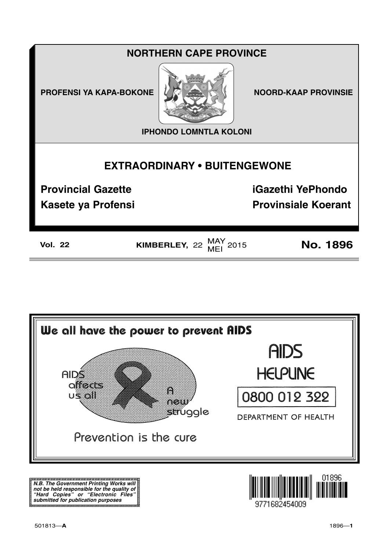# **NORTHERN CAPE PROVINCE**

**PROFENSI YA KAPA-BOKONE** 



**NOORD-KAAP PROVINSIE** 

**IPHONDO LOMNTLA KOLONI** 

## **EXTRAORDINARY . BUITENGEWONE**

**Provincial Gazette** 

**iGazethi YePhondo** 

**Kasete ya Profensi** 

**Provinsiale Koerant** 

**Vol. 22** 

KIMBERLEY,  $22 \frac{MAY}{MEI}$  2015

**No. 1896** 



N.B. The Government Printing Works will iv.b. The Government Printing works will<br>not be held responsible for the quality of<br>"Hard" Copies" or "Electronic Files"<br>submitted for publication purposes